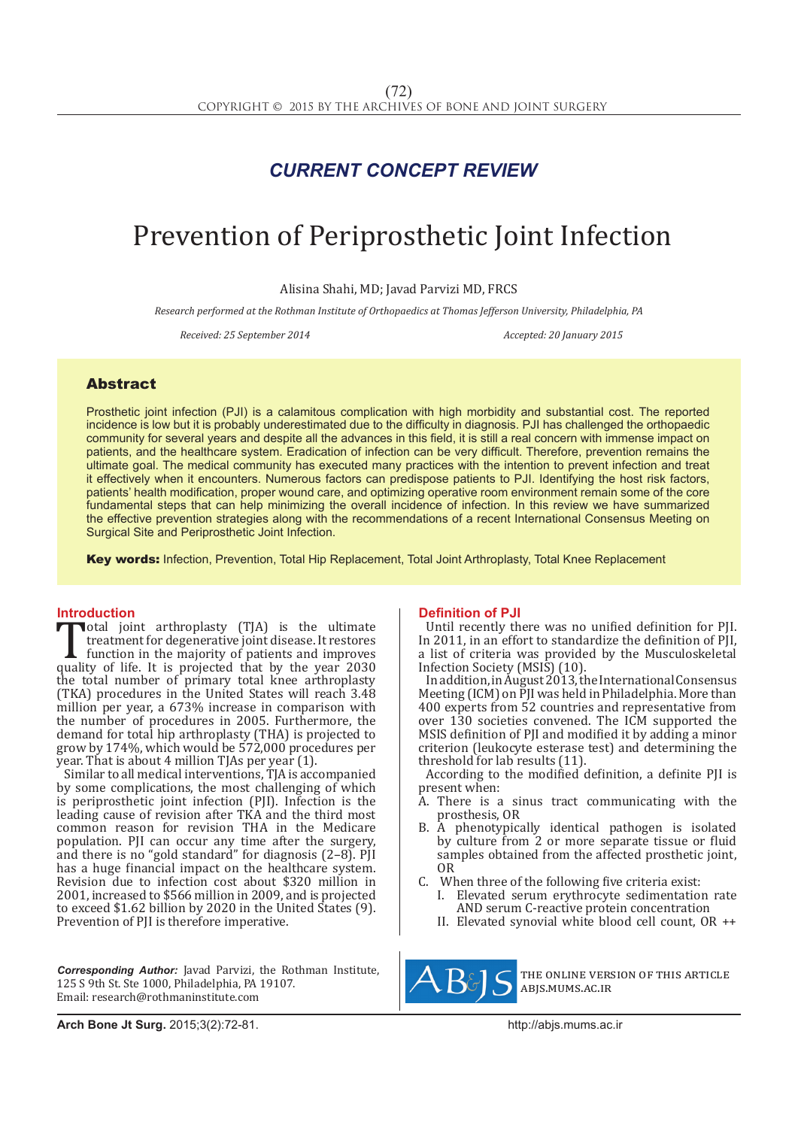## *CURRENT CONCEPT REVIEW*

# Prevention of Periprosthetic Joint Infection

Alisina Shahi, MD; Javad Parvizi MD, FRCS

*Research performed at the Rothman Institute of Orthopaedics at Thomas Jefferson University, Philadelphia, PA*

*Received: 25 September 2014 Accepted: 20 January 2015*

### Abstract

Prosthetic joint infection (PJI) is a calamitous complication with high morbidity and substantial cost. The reported incidence is low but it is probably underestimated due to the difficulty in diagnosis. PJI has challenged the orthopaedic community for several years and despite all the advances in this field, it is still a real concern with immense impact on patients, and the healthcare system. Eradication of infection can be very difficult. Therefore, prevention remains the ultimate goal. The medical community has executed many practices with the intention to prevent infection and treat it effectively when it encounters. Numerous factors can predispose patients to PJI. Identifying the host risk factors, patients' health modification, proper wound care, and optimizing operative room environment remain some of the core fundamental steps that can help minimizing the overall incidence of infection. In this review we have summarized the effective prevention strategies along with the recommendations of a recent International Consensus Meeting on Surgical Site and Periprosthetic Joint Infection.

Key words: Infection, Prevention, Total Hip Replacement, Total Joint Arthroplasty, Total Knee Replacement

**Introduction**<br>**Th**otal joint arthroplasty (TJA) is the ultimate Total joint arthroplasty (TJA) is the ultimate<br>treatment for degenerative joint disease. It restores<br>function in the majority of patients and improves<br>quality of life. It is projected that by the year 2030<br>the total number treatment for degenerative joint disease. It restores function in the majority of patients and improves the total number of primary total knee arthroplasty (TKA) procedures in the United States will reach 3.48 million per year, a 673% increase in comparison with the number of procedures in 2005. Furthermore, the demand for total hip arthroplasty (THA) is projected to grow by 174%, which would be 572,000 procedures per year. That is about 4 million TJAs per year (1).

Similar to all medical interventions, TJA is accompanied by some complications, the most challenging of which is periprosthetic joint infection (PJI). Infection is the leading cause of revision after TKA and the third most common reason for revision THA in the Medicare population. PJI can occur any time after the surgery, and there is no "gold standard" for diagnosis (2–8). PJI has a huge financial impact on the healthcare system. Revision due to infection cost about \$320 million in 2001, increased to \$566 million in 2009, and is projected to exceed \$1.62 billion by 2020 in the United States (9). Prevention of PJI is therefore imperative.

*Corresponding Author:* Javad Parvizi, the Rothman Institute, 125 S 9th St. Ste 1000, Philadelphia, PA 19107. Email: research@rothmaninstitute.com

#### **Definition of PJI**

Until recently there was no unified definition for PJI. In 2011, in an effort to standardize the definition of PJI, a list of criteria was provided by the Musculoskeletal Infection Society (MSIS) (10).

In addition, in August 2013, the International Consensus Meeting (ICM) on PJI was held in Philadelphia. More than 400 experts from 52 countries and representative from over 130 societies convened. The ICM supported the MSIS definition of PJI and modified it by adding a minor criterion (leukocyte esterase test) and determining the threshold for lab results (11).

According to the modified definition, a definite PJI is present when:

- A. There is a sinus tract communicating with the prosthesis, OR
- B. A phenotypically identical pathogen is isolated by culture from 2 or more separate tissue or fluid samples obtained from the affected prosthetic joint, OR
- C. When three of the following five criteria exist:
	- I. Elevated serum erythrocyte sedimentation rate AND serum C-reactive protein concentration
	- II. Elevated synovial white blood cell count, OR ++



the online version of this article abjs.mums.ac.ir

**Arch Bone Jt Surg.** 2015;3(2):72-81.http://abjs.mums.ac.ir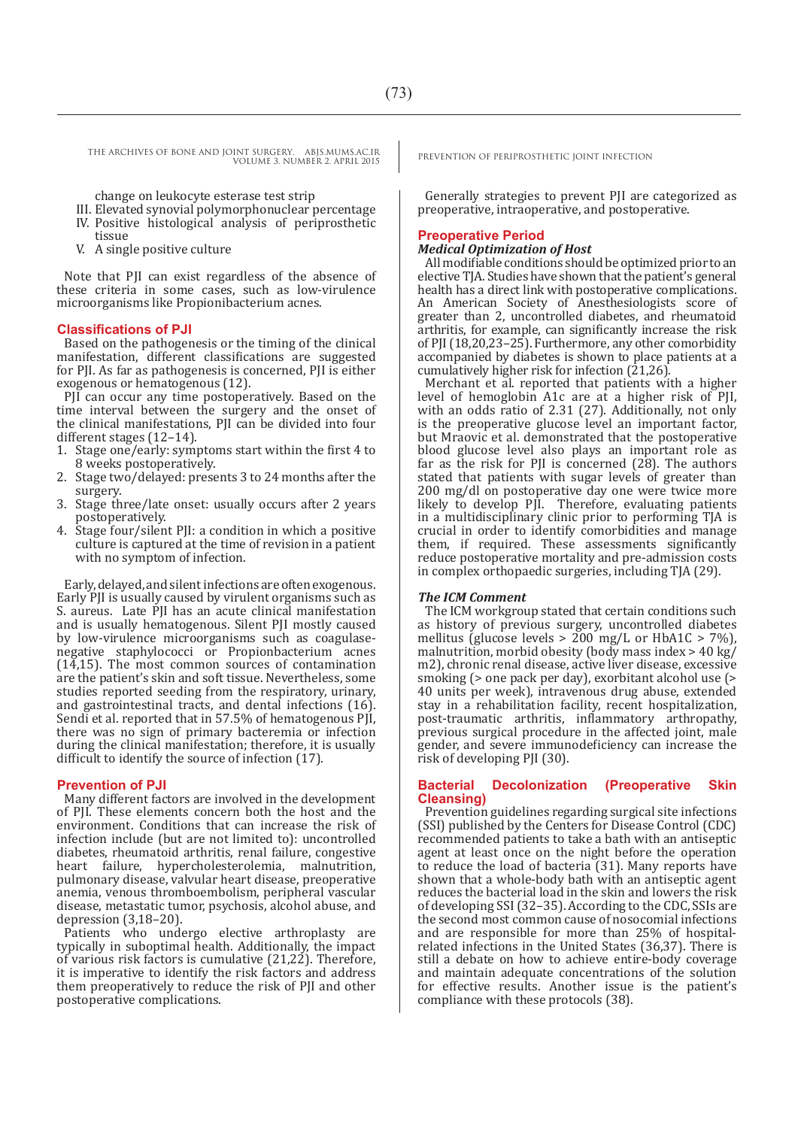change on leukocyte esterase test strip

- III. Elevated synovial polymorphonuclear percentage
- IV. Positive histological analysis of periprosthetic tissue
- V. A single positive culture

Note that PJI can exist regardless of the absence of these criteria in some cases, such as low-virulence microorganisms like Propionibacterium acnes.

#### **Classifications of PJI**

Based on the pathogenesis or the timing of the clinical manifestation, different classifications are suggested for PJI. As far as pathogenesis is concerned, PJI is either exogenous or hematogenous (12).

PJI can occur any time postoperatively. Based on the time interval between the surgery and the onset of the clinical manifestations, PJI can be divided into four different stages (12–14).<br>1 Stage one/early: symi

- Stage one/early: symptoms start within the first 4 to 8 weeks postoperatively.
- 2. Stage two/delayed: presents 3 to 24 months after the surgery.
- 3. Stage three/late onset: usually occurs after 2 years postoperatively.
- 4. Stage four/silent PJI: a condition in which a positive culture is captured at the time of revision in a patient with no symptom of infection.

Early, delayed, and silent infections are often exogenous. Early PJI is usually caused by virulent organisms such as S. aureus. Late PJI has an acute clinical manifestation and is usually hematogenous. Silent PJI mostly caused by low-virulence microorganisms such as coagulasenegative staphylococci or Propionbacterium acnes (14,15). The most common sources of contamination are the patient's skin and soft tissue. Nevertheless, some studies reported seeding from the respiratory, urinary, and gastrointestinal tracts, and dental infections (16). Sendi et al. reported that in 57.5% of hematogenous PJI, there was no sign of primary bacteremia or infection during the clinical manifestation; therefore, it is usually difficult to identify the source of infection (17).

#### **Prevention of PJI**

Many different factors are involved in the development of PJI. These elements concern both the host and the environment. Conditions that can increase the risk of infection include (but are not limited to): uncontrolled diabetes, rheumatoid arthritis, renal failure, congestive heart failure, hypercholesterolemia, malnutrition, pulmonary disease, valvular heart disease, preoperative anemia, venous thromboembolism, peripheral vascular disease, metastatic tumor, psychosis, alcohol abuse, and depression (3,18–20).

Patients who undergo elective arthroplasty are typically in suboptimal health. Additionally, the impact of various risk factors is cumulative (21,22). Therefore, it is imperative to identify the risk factors and address them preoperatively to reduce the risk of PJI and other postoperative complications.

Generally strategies to prevent PJI are categorized as preoperative, intraoperative, and postoperative.

#### **Preoperative Period**

#### *Medical Optimization of Host*

All modifiable conditions should be optimized prior to an elective TJA. Studies have shown that the patient's general health has a direct link with postoperative complications. An American Society of Anesthesiologists score of greater than 2, uncontrolled diabetes, and rheumatoid arthritis, for example, can significantly increase the risk of PJI (18,20,23–25). Furthermore, any other comorbidity accompanied by diabetes is shown to place patients at a cumulatively higher risk for infection (21,26).

Merchant et al. reported that patients with a higher level of hemoglobin A1c are at a higher risk of PJI, with an odds ratio of 2.31 (27). Additionally, not only is the preoperative glucose level an important factor, but Mraovic et al. demonstrated that the postoperative blood glucose level also plays an important role as far as the risk for PJI is concerned (28). The authors stated that patients with sugar levels of greater than 200 mg/dl on postoperative day one were twice more likely to develop PJI. Therefore, evaluating patients in a multidisciplinary clinic prior to performing TJA is crucial in order to identify comorbidities and manage them, if required. These assessments significantly reduce postoperative mortality and pre-admission costs in complex orthopaedic surgeries, including TJA (29).

#### *The ICM Comment*

The ICM workgroup stated that certain conditions such as history of previous surgery, uncontrolled diabetes mellitus (glucose levels  $> 200$  mg/L or HbA1C  $> 7\%$ ), malnutrition, morbid obesity (body mass index > 40 kg/ m2), chronic renal disease, active liver disease, excessive smoking (> one pack per day), exorbitant alcohol use (> 40 units per week), intravenous drug abuse, extended stay in a rehabilitation facility, recent hospitalization, post-traumatic arthritis, inflammatory arthropathy, previous surgical procedure in the affected joint, male gender, and severe immunodeficiency can increase the risk of developing PJI (30).

#### **Bacterial Decolonization (Preoperative Skin Cleansing)**

Prevention guidelines regarding surgical site infections (SSI) published by the Centers for Disease Control (CDC) recommended patients to take a bath with an antiseptic agent at least once on the night before the operation to reduce the load of bacteria (31). Many reports have shown that a whole-body bath with an antiseptic agent reduces the bacterial load in the skin and lowers the risk of developing SSI (32–35). According to the CDC, SSIs are the second most common cause of nosocomial infections and are responsible for more than 25% of hospitalrelated infections in the United States (36,37). There is still a debate on how to achieve entire-body coverage and maintain adequate concentrations of the solution for effective results. Another issue is the patient's compliance with these protocols (38).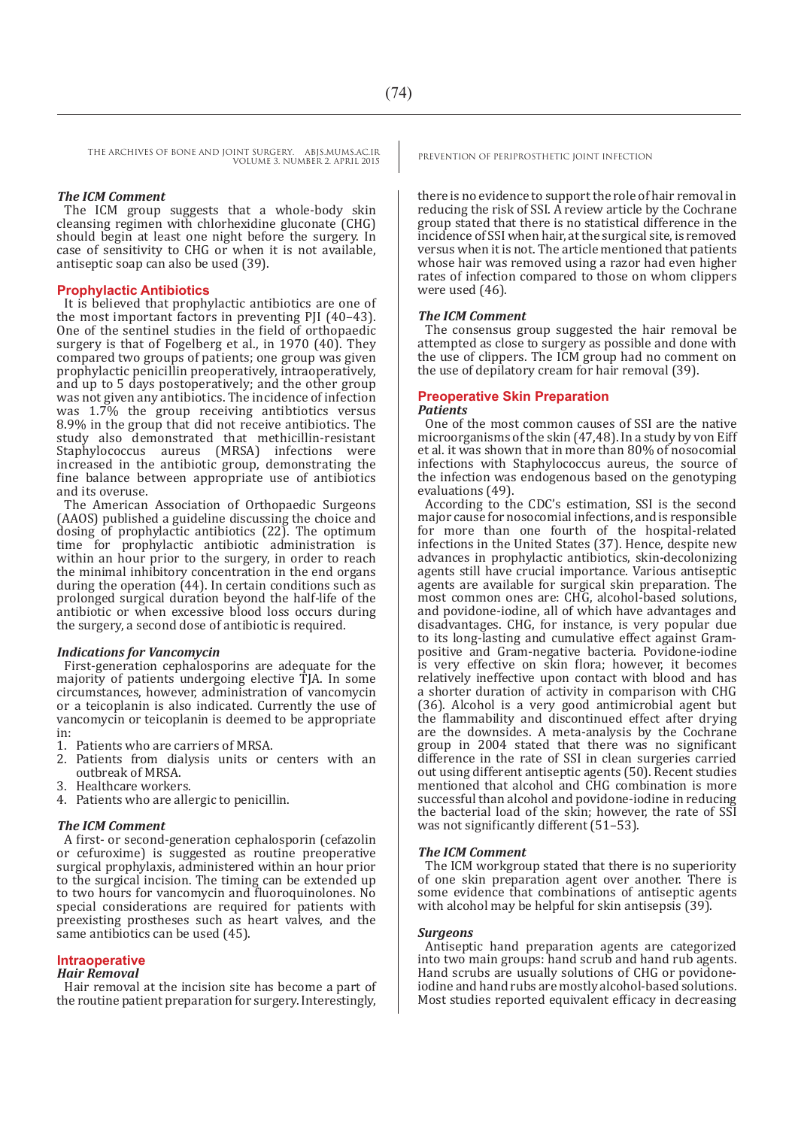#### *The ICM Comment*

The ICM group suggests that a whole-body skin cleansing regimen with chlorhexidine gluconate (CHG) should begin at least one night before the surgery. In case of sensitivity to CHG or when it is not available, antiseptic soap can also be used (39).

#### **Prophylactic Antibiotics**

It is believed that prophylactic antibiotics are one of the most important factors in preventing PJI (40–43). One of the sentinel studies in the field of orthopaedic surgery is that of Fogelberg et al., in 1970 (40). They compared two groups of patients; one group was given prophylactic penicillin preoperatively, intraoperatively, and up to 5 days postoperatively; and the other group was not given any antibiotics. The incidence of infection was 1.7% the group receiving antibtiotics versus 8.9% in the group that did not receive antibiotics. The study also demonstrated that methicillin-resistant Staphylococcus aureus (MRSA) infections were increased in the antibiotic group, demonstrating the fine balance between appropriate use of antibiotics and its overuse.

The American Association of Orthopaedic Surgeons (AAOS) published a guideline discussing the choice and dosing of prophylactic antibiotics (22). The optimum time for prophylactic antibiotic administration is within an hour prior to the surgery, in order to reach the minimal inhibitory concentration in the end organs during the operation (44). In certain conditions such as prolonged surgical duration beyond the half-life of the antibiotic or when excessive blood loss occurs during the surgery, a second dose of antibiotic is required.

#### *Indications for Vancomycin*

First-generation cephalosporins are adequate for the majority of patients undergoing elective TJA. In some circumstances, however, administration of vancomycin or a teicoplanin is also indicated. Currently the use of vancomycin or teicoplanin is deemed to be appropriate in:

- 1. Patients who are carriers of MRSA.<br>2. Patients from dialysis units or
- Patients from dialysis units or centers with an outbreak of MRSA.
- 3. Healthcare workers.
- 4. Patients who are allergic to penicillin.

#### *The ICM Comment*

A first- or second-generation cephalosporin (cefazolin or cefuroxime) is suggested as routine preoperative surgical prophylaxis, administered within an hour prior to the surgical incision. The timing can be extended up to two hours for vancomycin and fluoroquinolones. No special considerations are required for patients with preexisting prostheses such as heart valves, and the same antibiotics can be used (45).

#### **Intraoperative**

#### *Hair Removal*

Hair removal at the incision site has become a part of the routine patient preparation for surgery. Interestingly,

there is no evidence to support the role of hair removal in reducing the risk of SSI. A review article by the Cochrane group stated that there is no statistical difference in the incidence of SSI when hair, at the surgical site, is removed versus when it is not. The article mentioned that patients whose hair was removed using a razor had even higher rates of infection compared to those on whom clippers were used (46).

#### *The ICM Comment*

The consensus group suggested the hair removal be attempted as close to surgery as possible and done with the use of clippers. The ICM group had no comment on the use of depilatory cream for hair removal (39).

#### **Preoperative Skin Preparation**

#### *Patients*

One of the most common causes of SSI are the native microorganisms of the skin (47,48). In a study by von Eiff et al. it was shown that in more than 80% of nosocomial infections with Staphylococcus aureus, the source of the infection was endogenous based on the genotyping evaluations (49).

According to the CDC's estimation, SSI is the second major cause for nosocomial infections, and is responsible for more than one fourth of the hospital-related infections in the United States (37). Hence, despite new advances in prophylactic antibiotics, skin-decolonizing agents still have crucial importance. Various antiseptic agents are available for surgical skin preparation. The most common ones are: CHG, alcohol-based solutions, and povidone-iodine, all of which have advantages and disadvantages. CHG, for instance, is very popular due to its long-lasting and cumulative effect against Grampositive and Gram-negative bacteria. Povidone-iodine is very effective on skin flora; however, it becomes relatively ineffective upon contact with blood and has a shorter duration of activity in comparison with CHG (36). Alcohol is a very good antimicrobial agent but the flammability and discontinued effect after drying are the downsides. A meta-analysis by the Cochrane group in 2004 stated that there was no significant difference in the rate of SSI in clean surgeries carried out using different antiseptic agents (50). Recent studies mentioned that alcohol and CHG combination is more successful than alcohol and povidone-iodine in reducing the bacterial load of the skin; however, the rate of SSI was not significantly different (51–53).

#### *The ICM Comment*

The ICM workgroup stated that there is no superiority of one skin preparation agent over another. There is some evidence that combinations of antiseptic agents with alcohol may be helpful for skin antisepsis (39).

#### *Surgeons*

Antiseptic hand preparation agents are categorized into two main groups: hand scrub and hand rub agents. Hand scrubs are usually solutions of CHG or povidoneiodine and hand rubs are mostly alcohol-based solutions. Most studies reported equivalent efficacy in decreasing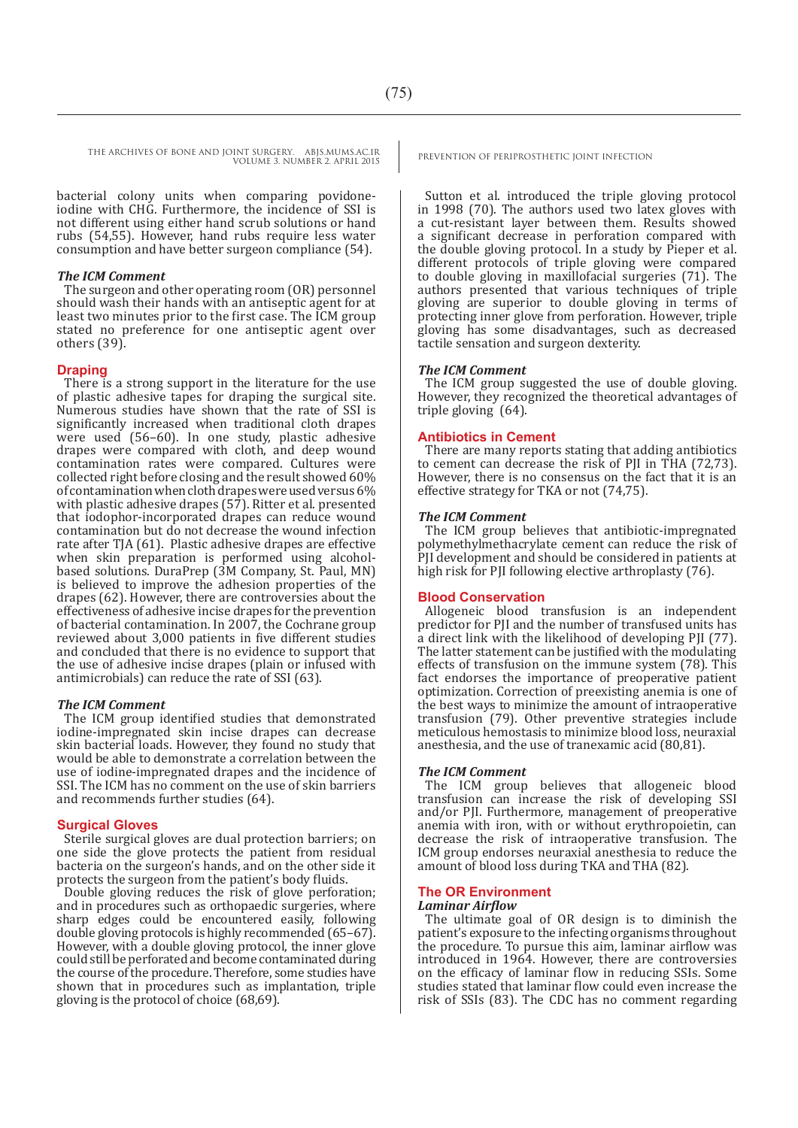bacterial colony units when comparing povidoneiodine with CHG. Furthermore, the incidence of SSI is not different using either hand scrub solutions or hand rubs (54,55). However, hand rubs require less water consumption and have better surgeon compliance (54).

#### *The ICM Comment*

The surgeon and other operating room (OR) personnel should wash their hands with an antiseptic agent for at least two minutes prior to the first case. The ICM group stated no preference for one antiseptic agent over others (39).

#### **Draping**

There is a strong support in the literature for the use of plastic adhesive tapes for draping the surgical site. Numerous studies have shown that the rate of SSI is significantly increased when traditional cloth drapes were used (56–60). In one study, plastic adhesive drapes were compared with cloth, and deep wound contamination rates were compared. Cultures were collected right before closing and the result showed 60% of contamination when cloth drapes were used versus 6% with plastic adhesive drapes (57). Ritter et al. presented that iodophor-incorporated drapes can reduce wound contamination but do not decrease the wound infection rate after TJA (61). Plastic adhesive drapes are effective when skin preparation is performed using alcoholbased solutions. DuraPrep (3M Company, St. Paul, MN) is believed to improve the adhesion properties of the drapes (62). However, there are controversies about the effectiveness of adhesive incise drapes for the prevention of bacterial contamination. In 2007, the Cochrane group reviewed about 3,000 patients in five different studies and concluded that there is no evidence to support that the use of adhesive incise drapes (plain or infused with antimicrobials) can reduce the rate of SSI (63).

#### *The ICM Comment*

The ICM group identified studies that demonstrated iodine-impregnated skin incise drapes can decrease skin bacterial loads. However, they found no study that would be able to demonstrate a correlation between the use of iodine-impregnated drapes and the incidence of SSI. The ICM has no comment on the use of skin barriers and recommends further studies (64).

#### **Surgical Gloves**

Sterile surgical gloves are dual protection barriers; on one side the glove protects the patient from residual bacteria on the surgeon's hands, and on the other side it protects the surgeon from the patient's body fluids.

Double gloving reduces the risk of glove perforation; and in procedures such as orthopaedic surgeries, where sharp edges could be encountered easily, following double gloving protocols is highly recommended (65–67). However, with a double gloving protocol, the inner glove could still be perforated and become contaminated during the course of the procedure. Therefore, some studies have shown that in procedures such as implantation, triple gloving is the protocol of choice (68,69).

Sutton et al. introduced the triple gloving protocol in 1998 (70). The authors used two latex gloves with a cut-resistant layer between them. Results showed a significant decrease in perforation compared with the double gloving protocol. In a study by Pieper et al. different protocols of triple gloving were compared to double gloving in maxillofacial surgeries (71). The authors presented that various techniques of triple gloving are superior to double gloving in terms of protecting inner glove from perforation. However, triple gloving has some disadvantages, such as decreased tactile sensation and surgeon dexterity.

#### *The ICM Comment*

The ICM group suggested the use of double gloving. However, they recognized the theoretical advantages of triple gloving (64).

#### **Antibiotics in Cement**

There are many reports stating that adding antibiotics to cement can decrease the risk of PJI in THA (72,73). However, there is no consensus on the fact that it is an effective strategy for TKA or not (74,75).

#### *The ICM Comment*

The ICM group believes that antibiotic-impregnated polymethylmethacrylate cement can reduce the risk of PJI development and should be considered in patients at high risk for PJI following elective arthroplasty (76).

#### **Blood Conservation**

Allogeneic blood transfusion is an independent predictor for PJI and the number of transfused units has a direct link with the likelihood of developing PJI (77). The latter statement can be justified with the modulating effects of transfusion on the immune system (78). This fact endorses the importance of preoperative patient optimization. Correction of preexisting anemia is one of the best ways to minimize the amount of intraoperative transfusion (79). Other preventive strategies include meticulous hemostasis to minimize blood loss, neuraxial anesthesia, and the use of tranexamic acid (80,81).

#### *The ICM Comment*

The ICM group believes that allogeneic blood transfusion can increase the risk of developing SSI and/or PJI. Furthermore, management of preoperative anemia with iron, with or without erythropoietin, can decrease the risk of intraoperative transfusion. The ICM group endorses neuraxial anesthesia to reduce the amount of blood loss during TKA and THA (82).

#### **The OR Environment** *Laminar Airflow*

The ultimate goal of OR design is to diminish the patient's exposure to the infecting organisms throughout the procedure. To pursue this aim, laminar airflow was introduced in 1964. However, there are controversies on the efficacy of laminar flow in reducing SSIs. Some studies stated that laminar flow could even increase the risk of SSIs (83). The CDC has no comment regarding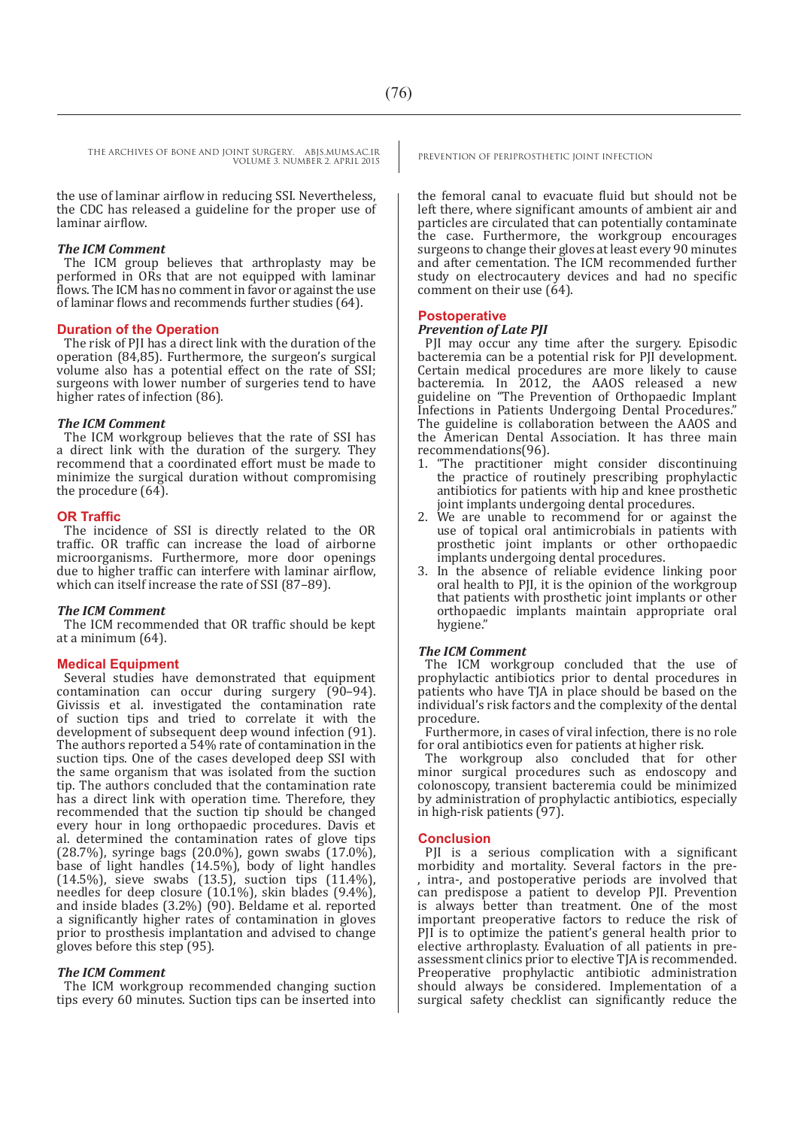the use of laminar airflow in reducing SSI. Nevertheless, the CDC has released a guideline for the proper use of laminar airflow.

#### *The ICM Comment*

The ICM group believes that arthroplasty may be performed in ORs that are not equipped with laminar flows. The ICM has no comment in favor or against the use of laminar flows and recommends further studies (64).

#### **Duration of the Operation**

The risk of PJI has a direct link with the duration of the operation (84,85). Furthermore, the surgeon's surgical volume also has a potential effect on the rate of SSI; surgeons with lower number of surgeries tend to have higher rates of infection (86).

#### *The ICM Comment*

The ICM workgroup believes that the rate of SSI has a direct link with the duration of the surgery. They recommend that a coordinated effort must be made to minimize the surgical duration without compromising the procedure (64).

#### **OR Traffic**

The incidence of SSI is directly related to the OR traffic. OR traffic can increase the load of airborne microorganisms. Furthermore, more door openings due to higher traffic can interfere with laminar airflow, which can itself increase the rate of SSI (87–89).

#### *The ICM Comment*

The ICM recommended that OR traffic should be kept at a minimum (64).

#### **Medical Equipment**

Several studies have demonstrated that equipment contamination can occur during surgery (90–94). Givissis et al. investigated the contamination rate of suction tips and tried to correlate it with the development of subsequent deep wound infection (91). The authors reported a 54% rate of contamination in the suction tips. One of the cases developed deep SSI with the same organism that was isolated from the suction tip. The authors concluded that the contamination rate has a direct link with operation time. Therefore, they recommended that the suction tip should be changed every hour in long orthopaedic procedures. Davis et al. determined the contamination rates of glove tips (28.7%), syringe bags (20.0%), gown swabs (17.0%), base of light handles (14.5%), body of light handles (14.5%), sieve swabs (13.5), suction tips (11.4%), needles for deep closure (10.1%), skin blades (9.4%), and inside blades (3.2%) (90). Beldame et al. reported a significantly higher rates of contamination in gloves prior to prosthesis implantation and advised to change gloves before this step (95).

#### *The ICM Comment*

The ICM workgroup recommended changing suction tips every 60 minutes. Suction tips can be inserted into

the femoral canal to evacuate fluid but should not be left there, where significant amounts of ambient air and particles are circulated that can potentially contaminate the case. Furthermore, the workgroup encourages surgeons to change their gloves at least every 90 minutes and after cementation. The ICM recommended further study on electrocautery devices and had no specific comment on their use (64).

#### **Postoperative**

#### *Prevention of Late PJI*

PJI may occur any time after the surgery. Episodic bacteremia can be a potential risk for PJI development. Certain medical procedures are more likely to cause bacteremia. In 2012, the AAOS released a new guideline on "The Prevention of Orthopaedic Implant Infections in Patients Undergoing Dental Procedures." The guideline is collaboration between the AAOS and the American Dental Association. It has three main recommendations(96).

- 1. "The practitioner might consider discontinuing the practice of routinely prescribing prophylactic antibiotics for patients with hip and knee prosthetic joint implants undergoing dental procedures.
- 2. We are unable to recommend for or against the use of topical oral antimicrobials in patients with prosthetic joint implants or other orthopaedic implants undergoing dental procedures.
- 3. In the absence of reliable evidence linking poor oral health to PJI, it is the opinion of the workgroup that patients with prosthetic joint implants or other orthopaedic implants maintain appropriate oral hygiene."

#### *The ICM Comment*

The ICM workgroup concluded that the use of prophylactic antibiotics prior to dental procedures in patients who have TJA in place should be based on the individual's risk factors and the complexity of the dental procedure.

Furthermore, in cases of viral infection, there is no role for oral antibiotics even for patients at higher risk.

The workgroup also concluded that for other minor surgical procedures such as endoscopy and colonoscopy, transient bacteremia could be minimized by administration of prophylactic antibiotics, especially in high-risk patients (97).

#### **Conclusion**

PJI is a serious complication with a significant morbidity and mortality. Several factors in the pre- , intra-, and postoperative periods are involved that can predispose a patient to develop PJI. Prevention is always better than treatment. One of the most important preoperative factors to reduce the risk of PII is to optimize the patient's general health prior to elective arthroplasty. Evaluation of all patients in preassessment clinics prior to elective TJA is recommended. Preoperative prophylactic antibiotic administration should always be considered. Implementation of a surgical safety checklist can significantly reduce the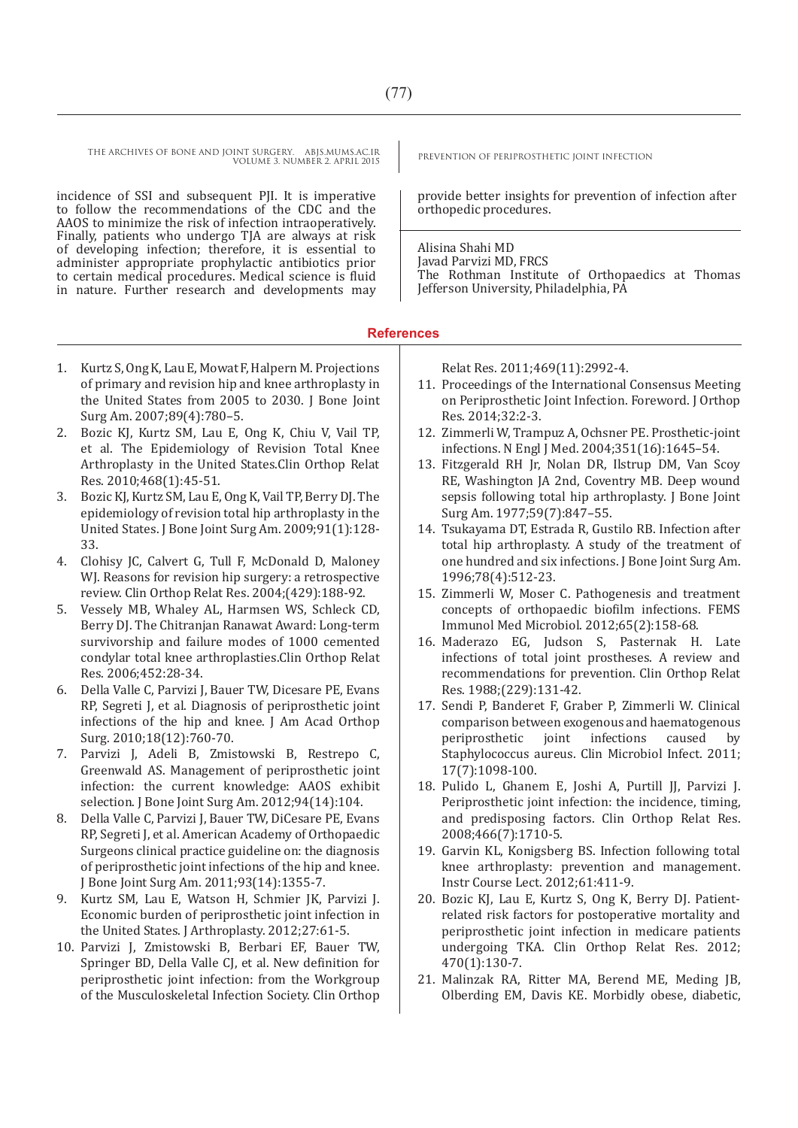incidence of SSI and subsequent PJI. It is imperative to follow the recommendations of the CDC and the AAOS to minimize the risk of infection intraoperatively. Finally, patients who undergo TJA are always at risk of developing infection; therefore, it is essential to administer appropriate prophylactic antibiotics prior to certain medical procedures. Medical science is fluid in nature. Further research and developments may

- 1. Kurtz S, Ong K, Lau E, Mowat F, Halpern M. Projections of primary and revision hip and knee arthroplasty in the United States from 2005 to 2030. J Bone Joint Surg Am. 2007;89(4):780–5.
- 2. Bozic KJ, Kurtz SM, Lau E, Ong K, Chiu V, Vail TP, et al. The Epidemiology of Revision Total Knee Arthroplasty in the United States.Clin Orthop Relat Res. 2010;468(1):45-51.
- 3. Bozic KJ, Kurtz SM, Lau E, Ong K, Vail TP, Berry DJ. The epidemiology of revision total hip arthroplasty in the United States. J Bone Joint Surg Am. 2009;91(1):128- 33.
- 4. Clohisy JC, Calvert G, Tull F, McDonald D, Maloney WJ. Reasons for revision hip surgery: a retrospective review. Clin Orthop Relat Res. 2004;(429):188-92.
- 5. Vessely MB, Whaley AL, Harmsen WS, Schleck CD, Berry DJ. The Chitranjan Ranawat Award: Long-term survivorship and failure modes of 1000 cemented condylar total knee arthroplasties.Clin Orthop Relat Res. 2006;452:28-34.
- 6. Della Valle C, Parvizi J, Bauer TW, Dicesare PE, Evans RP, Segreti J, et al. Diagnosis of periprosthetic joint infections of the hip and knee. J Am Acad Orthop Surg. 2010;18(12):760-70.
- 7. Parvizi J, Adeli B, Zmistowski B, Restrepo C, Greenwald AS. Management of periprosthetic joint infection: the current knowledge: AAOS exhibit selection. J Bone Joint Surg Am. 2012;94(14):104.
- 8. Della Valle C, Parvizi J, Bauer TW, DiCesare PE, Evans RP, Segreti J, et al. American Academy of Orthopaedic Surgeons clinical practice guideline on: the diagnosis of periprosthetic joint infections of the hip and knee. J Bone Joint Surg Am. 2011;93(14):1355-7.
- 9. Kurtz SM, Lau E, Watson H, Schmier JK, Parvizi J. Economic burden of periprosthetic joint infection in the United States. J Arthroplasty. 2012;27:61-5.
- 10. Parvizi J, Zmistowski B, Berbari EF, Bauer TW, Springer BD, Della Valle CJ, et al. New definition for periprosthetic joint infection: from the Workgroup of the Musculoskeletal Infection Society. Clin Orthop

provide better insights for prevention of infection after orthopedic procedures.

Alisina Shahi MD Javad Parvizi MD, FRCS The Rothman Institute of Orthopaedics at Thomas Jefferson University, Philadelphia, PA

**References**

Relat Res. 2011;469(11):2992-4.

- 11. Proceedings of the International Consensus Meeting on Periprosthetic Joint Infection. Foreword. J Orthop Res. 2014;32:2-3.
- 12. Zimmerli W, Trampuz A, Ochsner PE. Prosthetic-joint infections. N Engl J Med. 2004;351(16):1645–54.
- 13. Fitzgerald RH Jr, Nolan DR, Ilstrup DM, Van Scoy RE, Washington JA 2nd, Coventry MB. Deep wound sepsis following total hip arthroplasty. J Bone Joint Surg Am. 1977;59(7):847–55.
- 14. Tsukayama DT, Estrada R, Gustilo RB. Infection after total hip arthroplasty. A study of the treatment of one hundred and six infections. J Bone Joint Surg Am. 1996;78(4):512-23.
- 15. Zimmerli W, Moser C. Pathogenesis and treatment concepts of orthopaedic biofilm infections. FEMS Immunol Med Microbiol. 2012;65(2):158-68.
- 16. Maderazo EG, Judson S, Pasternak H. Late infections of total joint prostheses. A review and recommendations for prevention. Clin Orthop Relat Res. 1988;(229):131-42.
- 17. Sendi P, Banderet F, Graber P, Zimmerli W. Clinical comparison between exogenous and haematogenous<br>periprosthetic joint infections caused by periprosthetic Staphylococcus aureus. Clin Microbiol Infect. 2011; 17(7):1098-100.
- 18. Pulido L, Ghanem E, Joshi A, Purtill JJ, Parvizi J. Periprosthetic joint infection: the incidence, timing, and predisposing factors. Clin Orthop Relat Res. 2008;466(7):1710-5.
- 19. Garvin KL, Konigsberg BS. Infection following total knee arthroplasty: prevention and management. Instr Course Lect. 2012;61:411-9.
- 20. Bozic KJ, Lau E, Kurtz S, Ong K, Berry DJ. Patientrelated risk factors for postoperative mortality and periprosthetic joint infection in medicare patients undergoing TKA. Clin Orthop Relat Res. 2012; 470(1):130-7.
- 21. Malinzak RA, Ritter MA, Berend ME, Meding JB, Olberding EM, Davis KE. Morbidly obese, diabetic,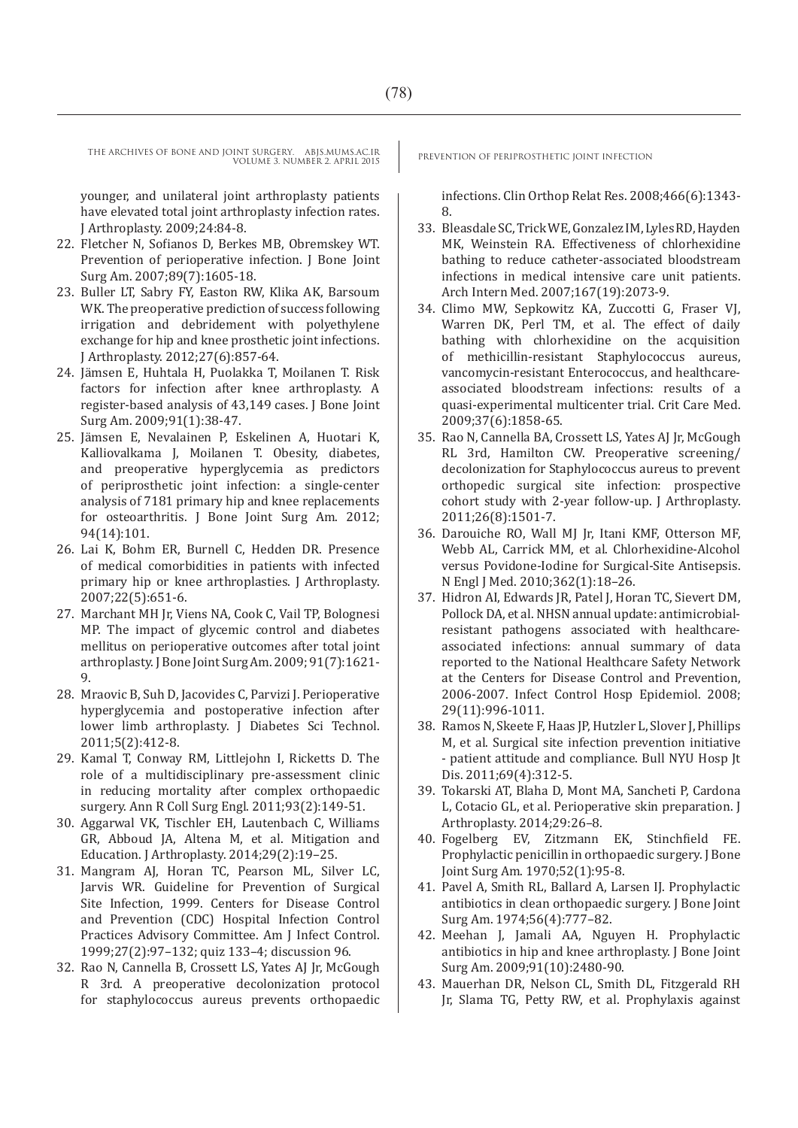younger, and unilateral joint arthroplasty patients have elevated total joint arthroplasty infection rates. J Arthroplasty. 2009;24:84-8.

- 22. Fletcher N, Sofianos D, Berkes MB, Obremskey WT. Prevention of perioperative infection. J Bone Joint Surg Am. 2007;89(7):1605-18.
- 23. Buller LT, Sabry FY, Easton RW, Klika AK, Barsoum WK. The preoperative prediction of success following irrigation and debridement with polyethylene exchange for hip and knee prosthetic joint infections. J Arthroplasty. 2012;27(6):857-64.
- 24. Jämsen E, Huhtala H, Puolakka T, Moilanen T. Risk factors for infection after knee arthroplasty. A register-based analysis of 43,149 cases. J Bone Joint Surg Am. 2009;91(1):38-47.
- 25. Jämsen E, Nevalainen P, Eskelinen A, Huotari K, Kalliovalkama J, Moilanen T. Obesity, diabetes, and preoperative hyperglycemia as predictors of periprosthetic joint infection: a single-center analysis of 7181 primary hip and knee replacements for osteoarthritis. J Bone Joint Surg Am. 2012; 94(14):101.
- 26. Lai K, Bohm ER, Burnell C, Hedden DR. Presence of medical comorbidities in patients with infected primary hip or knee arthroplasties. J Arthroplasty. 2007;22(5):651-6.
- 27. Marchant MH Jr, Viens NA, Cook C, Vail TP, Bolognesi MP. The impact of glycemic control and diabetes mellitus on perioperative outcomes after total joint arthroplasty. J Bone Joint Surg Am. 2009; 91(7):1621- 9.
- 28. Mraovic B, Suh D, Jacovides C, Parvizi J. Perioperative hyperglycemia and postoperative infection after lower limb arthroplasty. J Diabetes Sci Technol. 2011;5(2):412-8.
- 29. Kamal T, Conway RM, Littlejohn I, Ricketts D. The role of a multidisciplinary pre-assessment clinic in reducing mortality after complex orthopaedic surgery. Ann R Coll Surg Engl. 2011;93(2):149-51.
- 30. Aggarwal VK, Tischler EH, Lautenbach C, Williams GR, Abboud JA, Altena M, et al. Mitigation and Education. J Arthroplasty. 2014;29(2):19–25.
- 31. Mangram AJ, Horan TC, Pearson ML, Silver LC, Jarvis WR. Guideline for Prevention of Surgical Site Infection, 1999. Centers for Disease Control and Prevention (CDC) Hospital Infection Control Practices Advisory Committee. Am J Infect Control. 1999;27(2):97–132; quiz 133–4; discussion 96.
- 32. Rao N, Cannella B, Crossett LS, Yates AJ Jr, McGough R 3rd. A preoperative decolonization protocol for staphylococcus aureus prevents orthopaedic

infections. Clin Orthop Relat Res. 2008;466(6):1343- 8.

- 33. Bleasdale SC, Trick WE, Gonzalez IM, Lyles RD, Hayden MK, Weinstein RA. Effectiveness of chlorhexidine bathing to reduce catheter-associated bloodstream infections in medical intensive care unit patients. Arch Intern Med. 2007;167(19):2073-9.
- 34. Climo MW, Sepkowitz KA, Zuccotti G, Fraser VJ, Warren DK, Perl TM, et al. The effect of daily bathing with chlorhexidine on the acquisition of methicillin-resistant Staphylococcus aureus, vancomycin-resistant Enterococcus, and healthcareassociated bloodstream infections: results of a quasi-experimental multicenter trial. Crit Care Med. 2009;37(6):1858-65.
- 35. Rao N, Cannella BA, Crossett LS, Yates AJ Jr, McGough RL 3rd, Hamilton CW. Preoperative screening/ decolonization for Staphylococcus aureus to prevent orthopedic surgical site infection: prospective cohort study with 2-year follow-up. J Arthroplasty. 2011;26(8):1501-7.
- 36. Darouiche RO, Wall MJ Jr, Itani KMF, Otterson MF, Webb AL, Carrick MM, et al. Chlorhexidine-Alcohol versus Povidone-Iodine for Surgical-Site Antisepsis. N Engl J Med. 2010;362(1):18–26.
- 37. Hidron AI, Edwards JR, Patel J, Horan TC, Sievert DM, Pollock DA, et al. NHSN annual update: antimicrobialresistant pathogens associated with healthcareassociated infections: annual summary of data reported to the National Healthcare Safety Network at the Centers for Disease Control and Prevention, 2006-2007. Infect Control Hosp Epidemiol. 2008; 29(11):996-1011.
- 38. Ramos N, Skeete F, Haas JP, Hutzler L, Slover J, Phillips M, et al. Surgical site infection prevention initiative - patient attitude and compliance. Bull NYU Hosp Jt Dis. 2011;69(4):312-5.
- 39. Tokarski AT, Blaha D, Mont MA, Sancheti P, Cardona L, Cotacio GL, et al. Perioperative skin preparation. J Arthroplasty. 2014;29:26–8.
- 40. Fogelberg EV, Zitzmann EK, Stinchfield FE. Prophylactic penicillin in orthopaedic surgery. J Bone Joint Surg Am. 1970;52(1):95-8.
- 41. Pavel A, Smith RL, Ballard A, Larsen IJ. Prophylactic antibiotics in clean orthopaedic surgery. J Bone Joint Surg Am. 1974;56(4):777–82.
- 42. Meehan J, Jamali AA, Nguyen H. Prophylactic antibiotics in hip and knee arthroplasty. J Bone Joint Surg Am. 2009;91(10):2480-90.
- 43. Mauerhan DR, Nelson CL, Smith DL, Fitzgerald RH Jr, Slama TG, Petty RW, et al. Prophylaxis against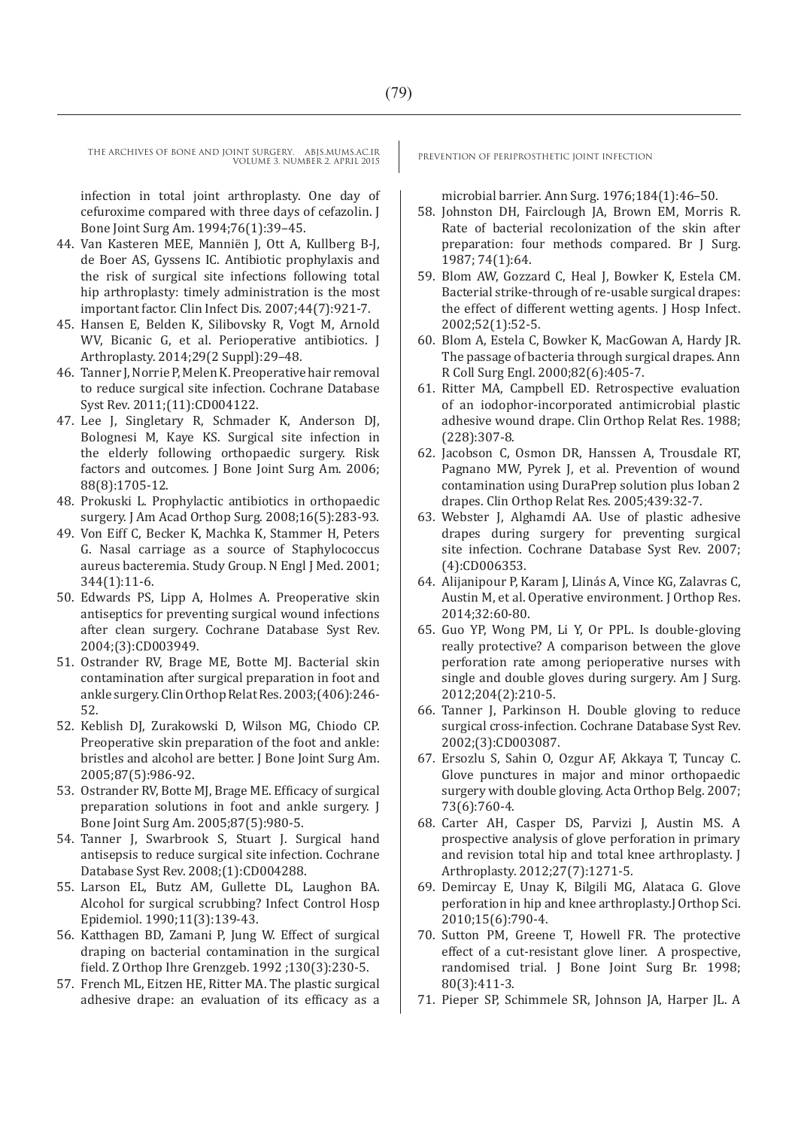infection in total joint arthroplasty. One day of cefuroxime compared with three days of cefazolin. J Bone Joint Surg Am. 1994;76(1):39–45.

- 44. Van Kasteren MEE, Manniën J, Ott A, Kullberg B-J, de Boer AS, Gyssens IC. Antibiotic prophylaxis and the risk of surgical site infections following total hip arthroplasty: timely administration is the most important factor. Clin Infect Dis. 2007;44(7):921-7.
- 45. Hansen E, Belden K, Silibovsky R, Vogt M, Arnold WV, Bicanic G, et al. Perioperative antibiotics. J Arthroplasty. 2014;29(2 Suppl):29–48.
- 46. Tanner J, Norrie P, Melen K. Preoperative hair removal to reduce surgical site infection. Cochrane Database Syst Rev. 2011;(11):CD004122.
- 47. Lee J, Singletary R, Schmader K, Anderson DJ, Bolognesi M, Kaye KS. Surgical site infection in the elderly following orthopaedic surgery. Risk factors and outcomes. J Bone Joint Surg Am. 2006; 88(8):1705-12.
- 48. Prokuski L. Prophylactic antibiotics in orthopaedic surgery. J Am Acad Orthop Surg. 2008;16(5):283-93.
- 49. Von Eiff C, Becker K, Machka K, Stammer H, Peters G. Nasal carriage as a source of Staphylococcus aureus bacteremia. Study Group. N Engl J Med. 2001; 344(1):11-6.
- 50. Edwards PS, Lipp A, Holmes A. Preoperative skin antiseptics for preventing surgical wound infections after clean surgery. Cochrane Database Syst Rev. 2004;(3):CD003949.
- 51. Ostrander RV, Brage ME, Botte MJ. Bacterial skin contamination after surgical preparation in foot and ankle surgery. Clin Orthop Relat Res. 2003;(406):246- 52.
- 52. Keblish DJ, Zurakowski D, Wilson MG, Chiodo CP. Preoperative skin preparation of the foot and ankle: bristles and alcohol are better. J Bone Joint Surg Am. 2005;87(5):986-92.
- 53. Ostrander RV, Botte MJ, Brage ME. Efficacy of surgical preparation solutions in foot and ankle surgery. J Bone Joint Surg Am. 2005;87(5):980-5.
- 54. Tanner J, Swarbrook S, Stuart J. Surgical hand antisepsis to reduce surgical site infection. Cochrane Database Syst Rev. 2008;(1):CD004288.
- 55. Larson EL, Butz AM, Gullette DL, Laughon BA. Alcohol for surgical scrubbing? Infect Control Hosp Epidemiol. 1990;11(3):139-43.
- 56. Katthagen BD, Zamani P, Jung W. Effect of surgical draping on bacterial contamination in the surgical field. Z Orthop Ihre Grenzgeb. 1992 ;130(3):230-5.
- 57. French ML, Eitzen HE, Ritter MA. The plastic surgical adhesive drape: an evaluation of its efficacy as a

microbial barrier. Ann Surg. 1976;184(1):46–50.

- 58. Johnston DH, Fairclough JA, Brown EM, Morris R. Rate of bacterial recolonization of the skin after preparation: four methods compared. Br J Surg. 1987; 74(1):64.
- 59. Blom AW, Gozzard C, Heal J, Bowker K, Estela CM. Bacterial strike-through of re-usable surgical drapes: the effect of different wetting agents. I Hosp Infect. 2002;52(1):52-5.
- 60. Blom A, Estela C, Bowker K, MacGowan A, Hardy JR. The passage of bacteria through surgical drapes. Ann R Coll Surg Engl. 2000;82(6):405-7.
- 61. Ritter MA, Campbell ED. Retrospective evaluation of an iodophor-incorporated antimicrobial plastic adhesive wound drape. Clin Orthop Relat Res. 1988; (228):307-8.
- 62. Jacobson C, Osmon DR, Hanssen A, Trousdale RT, Pagnano MW, Pyrek J, et al. Prevention of wound contamination using DuraPrep solution plus Ioban 2 drapes. Clin Orthop Relat Res. 2005;439:32-7.
- 63. Webster J, Alghamdi AA. Use of plastic adhesive drapes during surgery for preventing surgical site infection. Cochrane Database Syst Rev. 2007; (4):CD006353.
- 64. Alijanipour P, Karam J, Llinás A, Vince KG, Zalavras C, Austin M, et al. Operative environment. J Orthop Res. 2014;32:60-80.
- 65. Guo YP, Wong PM, Li Y, Or PPL. Is double-gloving really protective? A comparison between the glove perforation rate among perioperative nurses with single and double gloves during surgery. Am J Surg. 2012;204(2):210-5.
- 66. Tanner J, Parkinson H. Double gloving to reduce surgical cross-infection. Cochrane Database Syst Rev. 2002;(3):CD003087.
- 67. Ersozlu S, Sahin O, Ozgur AF, Akkaya T, Tuncay C. Glove punctures in major and minor orthopaedic surgery with double gloving. Acta Orthop Belg. 2007; 73(6):760-4.
- 68. Carter AH, Casper DS, Parvizi J, Austin MS. A prospective analysis of glove perforation in primary and revision total hip and total knee arthroplasty. J Arthroplasty. 2012;27(7):1271-5.
- 69. Demircay E, Unay K, Bilgili MG, Alataca G. Glove perforation in hip and knee arthroplasty.J Orthop Sci. 2010;15(6):790-4.
- 70. Sutton PM, Greene T, Howell FR. The protective effect of a cut-resistant glove liner. A prospective, randomised trial. J Bone Joint Surg Br. 1998; 80(3):411-3.
- 71. Pieper SP, Schimmele SR, Johnson JA, Harper JL. A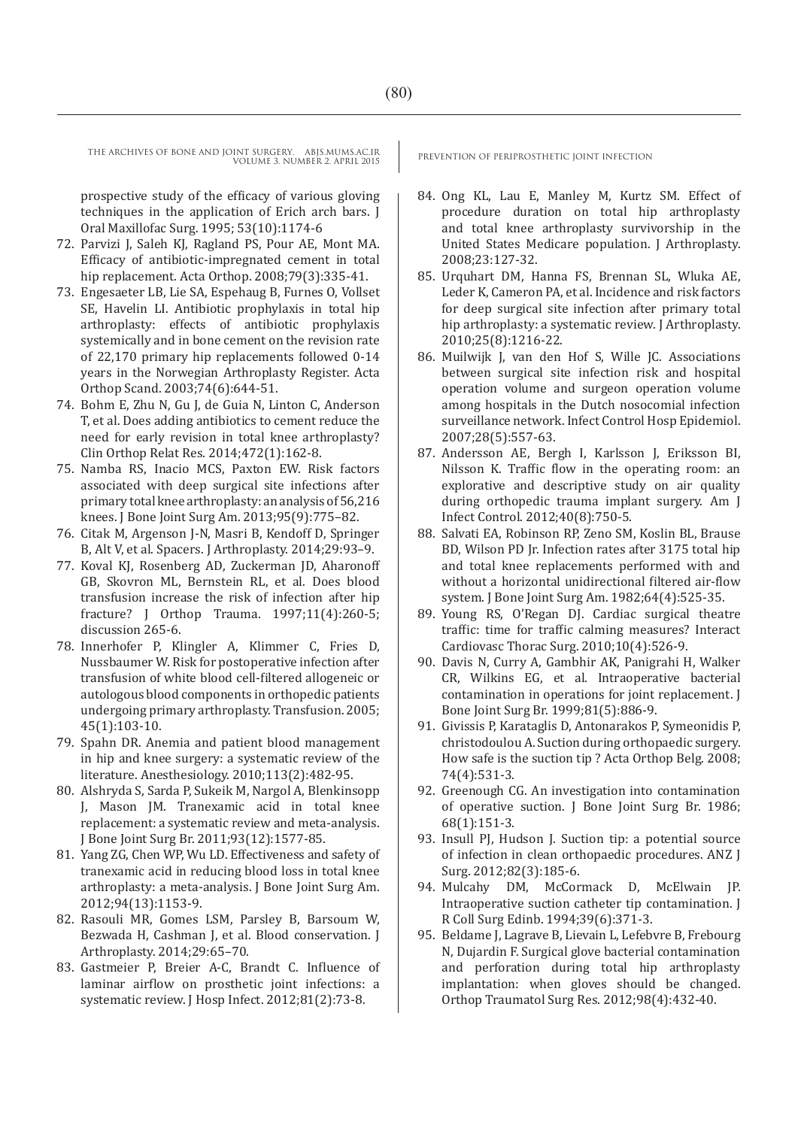prospective study of the efficacy of various gloving techniques in the application of Erich arch bars. J Oral Maxillofac Surg. 1995; 53(10):1174-6

- 72. Parvizi J, Saleh KJ, Ragland PS, Pour AE, Mont MA. Efficacy of antibiotic-impregnated cement in total hip replacement. Acta Orthop. 2008;79(3):335-41.
- 73. Engesaeter LB, Lie SA, Espehaug B, Furnes O, Vollset SE, Havelin LI. Antibiotic prophylaxis in total hip arthroplasty: effects of antibiotic prophylaxis systemically and in bone cement on the revision rate of 22,170 primary hip replacements followed 0-14 years in the Norwegian Arthroplasty Register. Acta Orthop Scand. 2003;74(6):644-51.
- 74. Bohm E, Zhu N, Gu J, de Guia N, Linton C, Anderson T, et al. Does adding antibiotics to cement reduce the need for early revision in total knee arthroplasty? Clin Orthop Relat Res. 2014;472(1):162-8.
- 75. Namba RS, Inacio MCS, Paxton EW. Risk factors associated with deep surgical site infections after primary total knee arthroplasty: an analysis of 56,216 knees. J Bone Joint Surg Am. 2013;95(9):775–82.
- 76. Citak M, Argenson J-N, Masri B, Kendoff D, Springer B, Alt V, et al. Spacers. J Arthroplasty. 2014;29:93–9.
- 77. Koval KJ, Rosenberg AD, Zuckerman JD, Aharonoff GB, Skovron ML, Bernstein RL, et al. Does blood transfusion increase the risk of infection after hip fracture? J Orthop Trauma. 1997;11(4):260-5; discussion 265-6.
- 78. Innerhofer P, Klingler A, Klimmer C, Fries D, Nussbaumer W. Risk for postoperative infection after transfusion of white blood cell-filtered allogeneic or autologous blood components in orthopedic patients undergoing primary arthroplasty. Transfusion. 2005; 45(1):103-10.
- 79. Spahn DR. Anemia and patient blood management in hip and knee surgery: a systematic review of the literature. Anesthesiology. 2010;113(2):482-95.
- 80. Alshryda S, Sarda P, Sukeik M, Nargol A, Blenkinsopp J, Mason JM. Tranexamic acid in total knee replacement: a systematic review and meta-analysis. J Bone Joint Surg Br. 2011;93(12):1577-85.
- 81. Yang ZG, Chen WP, Wu LD. Effectiveness and safety of tranexamic acid in reducing blood loss in total knee arthroplasty: a meta-analysis. J Bone Joint Surg Am. 2012;94(13):1153-9.
- 82. Rasouli MR, Gomes LSM, Parsley B, Barsoum W, Bezwada H, Cashman J, et al. Blood conservation. J Arthroplasty. 2014;29:65–70.
- 83. Gastmeier P, Breier A-C, Brandt C. Influence of laminar airflow on prosthetic joint infections: a systematic review. J Hosp Infect. 2012;81(2):73-8.

- 84. Ong KL, Lau E, Manley M, Kurtz SM. Effect of procedure duration on total hip arthroplasty and total knee arthroplasty survivorship in the United States Medicare population. J Arthroplasty. 2008;23:127-32.
- 85. Urquhart DM, Hanna FS, Brennan SL, Wluka AE, Leder K, Cameron PA, et al. Incidence and risk factors for deep surgical site infection after primary total hip arthroplasty: a systematic review. J Arthroplasty. 2010;25(8):1216-22.
- 86. Muilwijk J, van den Hof S, Wille JC. Associations between surgical site infection risk and hospital operation volume and surgeon operation volume among hospitals in the Dutch nosocomial infection surveillance network. Infect Control Hosp Epidemiol. 2007;28(5):557-63.
- 87. Andersson AE, Bergh I, Karlsson J, Eriksson BI, Nilsson K. Traffic flow in the operating room: an explorative and descriptive study on air quality during orthopedic trauma implant surgery. Am J Infect Control. 2012;40(8):750-5.
- 88. Salvati EA, Robinson RP, Zeno SM, Koslin BL, Brause BD, Wilson PD Jr. Infection rates after 3175 total hip and total knee replacements performed with and without a horizontal unidirectional filtered air-flow system. J Bone Joint Surg Am. 1982;64(4):525-35.
- 89. Young RS, O'Regan DJ. Cardiac surgical theatre traffic: time for traffic calming measures? Interact Cardiovasc Thorac Surg. 2010;10(4):526-9.
- 90. Davis N, Curry A, Gambhir AK, Panigrahi H, Walker CR, Wilkins EG, et al. Intraoperative bacterial contamination in operations for joint replacement. J Bone Joint Surg Br. 1999;81(5):886-9.
- 91. Givissis P, Karataglis D, Antonarakos P, Symeonidis P, christodoulou A. Suction during orthopaedic surgery. How safe is the suction tip ? Acta Orthop Belg. 2008; 74(4):531-3.
- 92. Greenough CG. An investigation into contamination of operative suction. J Bone Joint Surg Br. 1986; 68(1):151-3.
- 93. Insull PJ, Hudson J. Suction tip: a potential source of infection in clean orthopaedic procedures. ANZ J Surg. 2012;82(3):185-6.
- 94. Mulcahy DM, McCormack D, McElwain JP. Intraoperative suction catheter tip contamination. J R Coll Surg Edinb. 1994;39(6):371-3.
- 95. Beldame J, Lagrave B, Lievain L, Lefebvre B, Frebourg N, Dujardin F. Surgical glove bacterial contamination and perforation during total hip arthroplasty implantation: when gloves should be changed. Orthop Traumatol Surg Res. 2012;98(4):432-40.